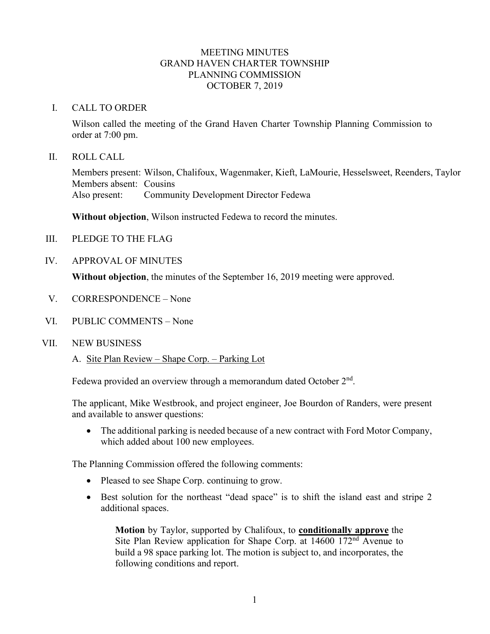## MEETING MINUTES GRAND HAVEN CHARTER TOWNSHIP PLANNING COMMISSION OCTOBER 7, 2019

### I. CALL TO ORDER

Wilson called the meeting of the Grand Haven Charter Township Planning Commission to order at 7:00 pm.

II. ROLL CALL

Members present: Wilson, Chalifoux, Wagenmaker, Kieft, LaMourie, Hesselsweet, Reenders, Taylor Members absent: Cousins Also present: Community Development Director Fedewa

**Without objection**, Wilson instructed Fedewa to record the minutes.

- III. PLEDGE TO THE FLAG
- IV. APPROVAL OF MINUTES

**Without objection**, the minutes of the September 16, 2019 meeting were approved.

- V. CORRESPONDENCE None
- VI. PUBLIC COMMENTS None
- VII. NEW BUSINESS
	- A. Site Plan Review Shape Corp. Parking Lot

Fedewa provided an overview through a memorandum dated October  $2<sup>nd</sup>$ .

The applicant, Mike Westbrook, and project engineer, Joe Bourdon of Randers, were present and available to answer questions:

• The additional parking is needed because of a new contract with Ford Motor Company, which added about 100 new employees.

The Planning Commission offered the following comments:

- Pleased to see Shape Corp. continuing to grow.
- Best solution for the northeast "dead space" is to shift the island east and stripe 2 additional spaces.

**Motion** by Taylor, supported by Chalifoux, to **conditionally approve** the Site Plan Review application for Shape Corp. at 14600 172nd Avenue to build a 98 space parking lot. The motion is subject to, and incorporates, the following conditions and report.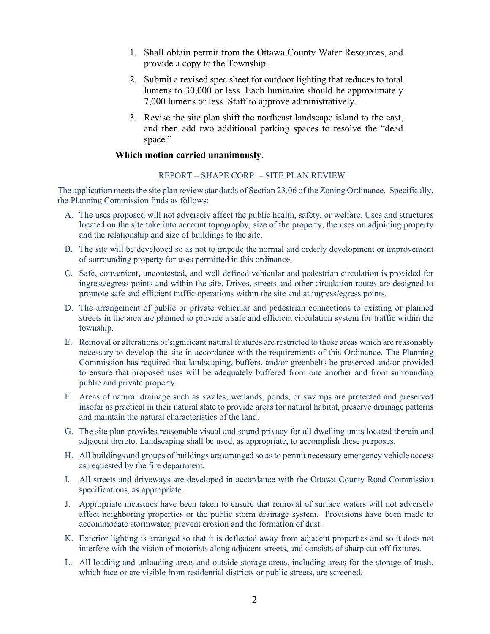- 1. Shall obtain permit from the Ottawa County Water Resources, and provide a copy to the Township.
- 2. Submit a revised spec sheet for outdoor lighting that reduces to total lumens to 30,000 or less. Each luminaire should be approximately 7,000 lumens or less. Staff to approve administratively.
- 3. Revise the site plan shift the northeast landscape island to the east, and then add two additional parking spaces to resolve the "dead space."

#### **Which motion carried unanimously**.

#### REPORT – SHAPE CORP. – SITE PLAN REVIEW

The application meets the site plan review standards of Section 23.06 of the Zoning Ordinance. Specifically, the Planning Commission finds as follows:

- A. The uses proposed will not adversely affect the public health, safety, or welfare. Uses and structures located on the site take into account topography, size of the property, the uses on adjoining property and the relationship and size of buildings to the site.
- B. The site will be developed so as not to impede the normal and orderly development or improvement of surrounding property for uses permitted in this ordinance.
- C. Safe, convenient, uncontested, and well defined vehicular and pedestrian circulation is provided for ingress/egress points and within the site. Drives, streets and other circulation routes are designed to promote safe and efficient traffic operations within the site and at ingress/egress points.
- D. The arrangement of public or private vehicular and pedestrian connections to existing or planned streets in the area are planned to provide a safe and efficient circulation system for traffic within the township.
- E. Removal or alterations of significant natural features are restricted to those areas which are reasonably necessary to develop the site in accordance with the requirements of this Ordinance. The Planning Commission has required that landscaping, buffers, and/or greenbelts be preserved and/or provided to ensure that proposed uses will be adequately buffered from one another and from surrounding public and private property.
- F. Areas of natural drainage such as swales, wetlands, ponds, or swamps are protected and preserved insofar as practical in their natural state to provide areas for natural habitat, preserve drainage patterns and maintain the natural characteristics of the land.
- G. The site plan provides reasonable visual and sound privacy for all dwelling units located therein and adjacent thereto. Landscaping shall be used, as appropriate, to accomplish these purposes.
- H. All buildings and groups of buildings are arranged so as to permit necessary emergency vehicle access as requested by the fire department.
- I. All streets and driveways are developed in accordance with the Ottawa County Road Commission specifications, as appropriate.
- J. Appropriate measures have been taken to ensure that removal of surface waters will not adversely affect neighboring properties or the public storm drainage system. Provisions have been made to accommodate stormwater, prevent erosion and the formation of dust.
- K. Exterior lighting is arranged so that it is deflected away from adjacent properties and so it does not interfere with the vision of motorists along adjacent streets, and consists of sharp cut-off fixtures.
- L. All loading and unloading areas and outside storage areas, including areas for the storage of trash, which face or are visible from residential districts or public streets, are screened.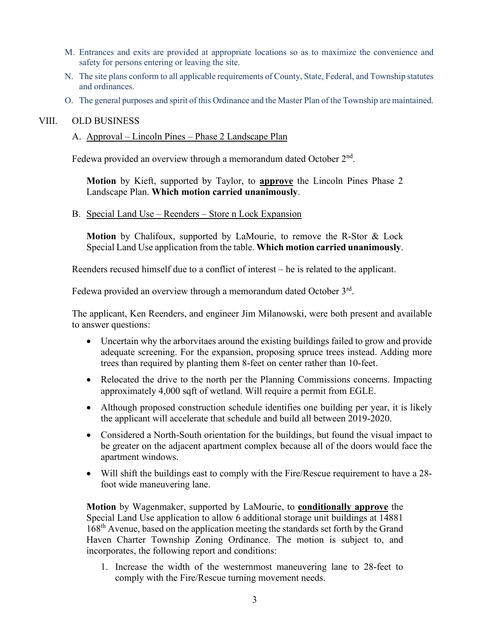- M. Entrances and exits are provided at appropriate locations so as to maximize the convenience and safety for persons entering or leaving the site.
- N. The site plans conform to all applicable requirements of County, State, Federal, and Township statutes and ordinances.
- O. The general purposes and spirit of this Ordinance and the Master Plan of the Township are maintained.

#### VIII. OLD BUSINESS

A. Approval – Lincoln Pines – Phase 2 Landscape Plan

Fedewa provided an overview through a memorandum dated October 2<sup>nd</sup>.

**Motion** by Kieft, supported by Taylor, to **approve** the Lincoln Pines Phase 2 Landscape Plan. **Which motion carried unanimously**.

B. Special Land Use – Reenders – Store n Lock Expansion

**Motion** by Chalifoux, supported by LaMourie, to remove the R-Stor & Lock Special Land Use application from the table. **Which motion carried unanimously**.

Reenders recused himself due to a conflict of interest – he is related to the applicant.

Fedewa provided an overview through a memorandum dated October 3<sup>rd</sup>.

The applicant, Ken Reenders, and engineer Jim Milanowski, were both present and available to answer questions:

- Uncertain why the arborvitaes around the existing buildings failed to grow and provide adequate screening. For the expansion, proposing spruce trees instead. Adding more trees than required by planting them 8-feet on center rather than 10-feet.
- Relocated the drive to the north per the Planning Commissions concerns. Impacting approximately 4,000 sqft of wetland. Will require a permit from EGLE.
- Although proposed construction schedule identifies one building per year, it is likely the applicant will accelerate that schedule and build all between 2019-2020.
- Considered a North-South orientation for the buildings, but found the visual impact to be greater on the adjacent apartment complex because all of the doors would face the apartment windows.
- Will shift the buildings east to comply with the Fire/Rescue requirement to have a 28foot wide maneuvering lane.

**Motion** by Wagenmaker, supported by LaMourie, to **conditionally approve** the Special Land Use application to allow 6 additional storage unit buildings at 14881 168th Avenue, based on the application meeting the standards set forth by the Grand Haven Charter Township Zoning Ordinance. The motion is subject to, and incorporates, the following report and conditions:

1. Increase the width of the westernmost maneuvering lane to 28-feet to comply with the Fire/Rescue turning movement needs.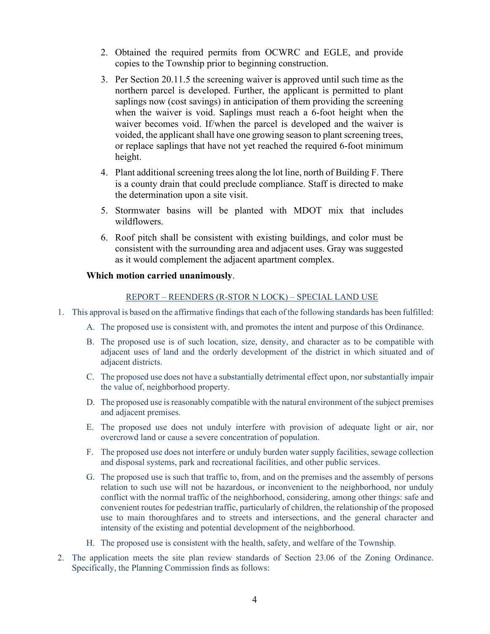- 2. Obtained the required permits from OCWRC and EGLE, and provide copies to the Township prior to beginning construction.
- 3. Per Section 20.11.5 the screening waiver is approved until such time as the northern parcel is developed. Further, the applicant is permitted to plant saplings now (cost savings) in anticipation of them providing the screening when the waiver is void. Saplings must reach a 6-foot height when the waiver becomes void. If/when the parcel is developed and the waiver is voided, the applicant shall have one growing season to plant screening trees, or replace saplings that have not yet reached the required 6-foot minimum height.
- 4. Plant additional screening trees along the lot line, north of Building F. There is a county drain that could preclude compliance. Staff is directed to make the determination upon a site visit.
- 5. Stormwater basins will be planted with MDOT mix that includes wildflowers.
- 6. Roof pitch shall be consistent with existing buildings, and color must be consistent with the surrounding area and adjacent uses. Gray was suggested as it would complement the adjacent apartment complex.

## **Which motion carried unanimously**.

#### REPORT – REENDERS (R-STOR N LOCK) – SPECIAL LAND USE

- 1. This approval is based on the affirmative findings that each of the following standards has been fulfilled:
	- A. The proposed use is consistent with, and promotes the intent and purpose of this Ordinance.
	- B. The proposed use is of such location, size, density, and character as to be compatible with adjacent uses of land and the orderly development of the district in which situated and of adjacent districts.
	- C. The proposed use does not have a substantially detrimental effect upon, nor substantially impair the value of, neighborhood property.
	- D. The proposed use is reasonably compatible with the natural environment of the subject premises and adjacent premises.
	- E. The proposed use does not unduly interfere with provision of adequate light or air, nor overcrowd land or cause a severe concentration of population.
	- F. The proposed use does not interfere or unduly burden water supply facilities, sewage collection and disposal systems, park and recreational facilities, and other public services.
	- G. The proposed use is such that traffic to, from, and on the premises and the assembly of persons relation to such use will not be hazardous, or inconvenient to the neighborhood, nor unduly conflict with the normal traffic of the neighborhood, considering, among other things: safe and convenient routes for pedestrian traffic, particularly of children, the relationship of the proposed use to main thoroughfares and to streets and intersections, and the general character and intensity of the existing and potential development of the neighborhood.
	- H. The proposed use is consistent with the health, safety, and welfare of the Township.
- 2. The application meets the site plan review standards of Section 23.06 of the Zoning Ordinance. Specifically, the Planning Commission finds as follows: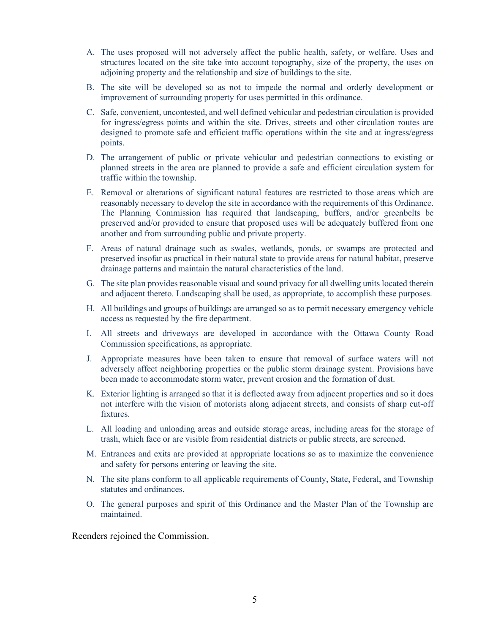- A. The uses proposed will not adversely affect the public health, safety, or welfare. Uses and structures located on the site take into account topography, size of the property, the uses on adjoining property and the relationship and size of buildings to the site.
- B. The site will be developed so as not to impede the normal and orderly development or improvement of surrounding property for uses permitted in this ordinance.
- C. Safe, convenient, uncontested, and well defined vehicular and pedestrian circulation is provided for ingress/egress points and within the site. Drives, streets and other circulation routes are designed to promote safe and efficient traffic operations within the site and at ingress/egress points.
- D. The arrangement of public or private vehicular and pedestrian connections to existing or planned streets in the area are planned to provide a safe and efficient circulation system for traffic within the township.
- E. Removal or alterations of significant natural features are restricted to those areas which are reasonably necessary to develop the site in accordance with the requirements of this Ordinance. The Planning Commission has required that landscaping, buffers, and/or greenbelts be preserved and/or provided to ensure that proposed uses will be adequately buffered from one another and from surrounding public and private property.
- F. Areas of natural drainage such as swales, wetlands, ponds, or swamps are protected and preserved insofar as practical in their natural state to provide areas for natural habitat, preserve drainage patterns and maintain the natural characteristics of the land.
- G. The site plan provides reasonable visual and sound privacy for all dwelling units located therein and adjacent thereto. Landscaping shall be used, as appropriate, to accomplish these purposes.
- H. All buildings and groups of buildings are arranged so as to permit necessary emergency vehicle access as requested by the fire department.
- I. All streets and driveways are developed in accordance with the Ottawa County Road Commission specifications, as appropriate.
- J. Appropriate measures have been taken to ensure that removal of surface waters will not adversely affect neighboring properties or the public storm drainage system. Provisions have been made to accommodate storm water, prevent erosion and the formation of dust.
- K. Exterior lighting is arranged so that it is deflected away from adjacent properties and so it does not interfere with the vision of motorists along adjacent streets, and consists of sharp cut-off fixtures.
- L. All loading and unloading areas and outside storage areas, including areas for the storage of trash, which face or are visible from residential districts or public streets, are screened.
- M. Entrances and exits are provided at appropriate locations so as to maximize the convenience and safety for persons entering or leaving the site.
- N. The site plans conform to all applicable requirements of County, State, Federal, and Township statutes and ordinances.
- O. The general purposes and spirit of this Ordinance and the Master Plan of the Township are maintained.

Reenders rejoined the Commission.